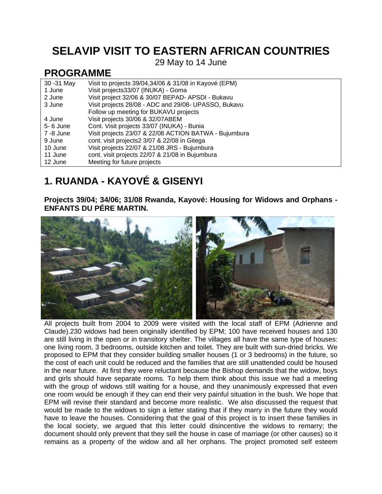## **SELAVIP VISIT TO EASTERN AFRICAN COUNTRIES**

29 May to 14 June

### **PROGRAMME**

| 30 - 31 May | Visit to projects 39/04,34/06 & 31/08 in Kayové (EPM) |
|-------------|-------------------------------------------------------|
| 1 June      | Visit projects33/07 (INUKA) - Goma                    |
| 2 June      | Visit project 32/06 & 30/07 BEPAD- APSDI - Bukavu     |
| 3 June      | Visit projects 28/08 - ADC and 29/08- UPASSO, Bukavu  |
|             | Follow up meeting for BUKAVU projects                 |
| 4 June      | Visit projects 30/06 & 32/07ABEM                      |
| 5- 6 June   | Cont. Visit projects 33/07 (INUKA) - Bunia            |
| 7 -8 June   | Visit projects 23/07 & 22/08 ACTION BATWA - Bujumbura |
| 9 June      | cont. visit projects2 3/07 & 22/08 in Gitega          |
| 10 June     | Visit projects 22/07 & 21/08 JRS - Bujumbura          |
| 11 June     | cont. visit projects 22/07 & 21/08 in Bujumbura       |
| 12 June     | Meeting for future projects                           |

# **1. RUANDA - KAYOVÉ & GISENYI**

**Projects 39/04; 34/06; 31/08 Rwanda, Kayové: Housing for Widows and Orphans - ENFANTS DU PÉRE MARTIN.** 



All projects built from 2004 to 2009 were visited with the local staff of EPM (Adrienne and Claude).230 widows had been originally identified by EPM; 100 have received houses and 130 are still living in the open or in transitory shelter. The villages all have the same type of houses: one living room, 3 bedrooms, outside kitchen and toilet. They are built with sun-dried bricks. We proposed to EPM that they consider building smaller houses (1 or 3 bedrooms) in the future, so the cost of each unit could be reduced and the families that are still unattended could be housed in the near future. At first they were reluctant because the Bishop demands that the widow, boys and girls should have separate rooms. To help them think about this issue we had a meeting with the group of widows still waiting for a house, and they unanimously expressed that even one room would be enough if they can end their very painful situation in the bush. We hope that EPM will revise their standard and become more realistic. We also discussed the request that would be made to the widows to sign a letter stating that if they marry in the future they would have to leave the houses. Considering that the goal of this project is to insert these families in the local society, we argued that this letter could disincentive the widows to remarry; the document should only prevent that they sell the house in case of marriage (or other causes) so it remains as a property of the widow and all her orphans. The project promoted self esteem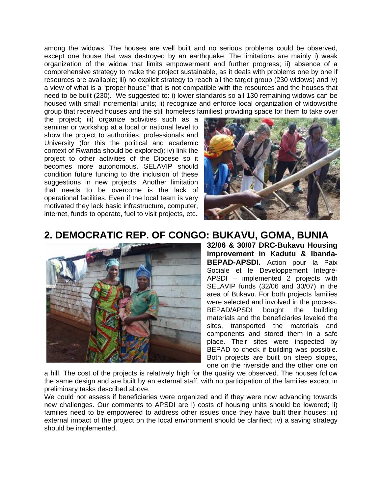among the widows. The houses are well built and no serious problems could be observed, except one house that was destroyed by an earthquake. The limitations are mainly i) weak organization of the widow that limits empowerment and further progress; ii) absence of a comprehensive strategy to make the project sustainable, as it deals with problems one by one if resources are available; iii) no explicit strategy to reach all the target group (230 widows) and iv) a view of what is a "proper house" that is not compatible with the resources and the houses that need to be built (230). We suggested to: i) lower standards so all 130 remaining widows can be housed with small incremental units; ii) recognize and enforce local organization of widows(the group that received houses and the still homeless families) providing space for them to take over

the project; iii) organize activities such as a seminar or workshop at a local or national level to show the project to authorities, professionals and University (for this the political and academic context of Rwanda should be explored); iv) link the project to other activities of the Diocese so it becomes more autonomous. SELAVIP should condition future funding to the inclusion of these suggestions in new projects. Another limitation that needs to be overcome is the lack of operational facilities. Even if the local team is very motivated they lack basic infrastructure, computer, internet, funds to operate, fuel to visit projects, etc.



### **2. DEMOCRATIC REP. OF CONGO: BUKAVU, GOMA, BUNIA**



**32/06 & 30/07 DRC-Bukavu Housing improvement in Kadutu & Ibanda-BEPAD-APSDI.** Action pour la Paix Sociale et le Developpement Integré-APSDI – implemented 2 projects with SELAVIP funds (32/06 and 30/07) in the area of Bukavu. For both projects families were selected and involved in the process. BEPAD/APSDI bought the building materials and the beneficiaries leveled the sites, transported the materials and components and stored them in a safe place. Their sites were inspected by BEPAD to check if building was possible. Both projects are built on steep slopes, one on the riverside and the other one on

a hill. The cost of the projects is relatively high for the quality we observed. The houses follow the same design and are built by an external staff, with no participation of the families except in preliminary tasks described above.

We could not assess if beneficiaries were organized and if they were now advancing towards new challenges. Our comments to APSDI are i) costs of housing units should be lowered; ii) families need to be empowered to address other issues once they have built their houses; iii) external impact of the project on the local environment should be clarified; iv) a saving strategy should be implemented.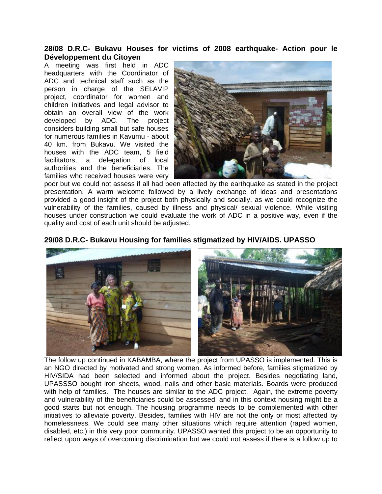#### **28/08 D.R.C- Bukavu Houses for victims of 2008 earthquake- Action pour le Développement du Citoyen**

A meeting was first held in ADC headquarters with the Coordinator of ADC and technical staff such as the person in charge of the SELAVIP project, coordinator for women and children initiatives and legal advisor to obtain an overall view of the work developed by ADC. The project considers building small but safe houses for numerous families in Kavumu - about 40 km. from Bukavu. We visited the houses with the ADC team, 5 field facilitators, a delegation of local authorities and the beneficiaries. The families who received houses were very



poor but we could not assess if all had been affected by the earthquake as stated in the project presentation. A warm welcome followed by a lively exchange of ideas and presentations provided a good insight of the project both physically and socially, as we could recognize the vulnerability of the families, caused by illness and physical/ sexual violence. While visiting houses under construction we could evaluate the work of ADC in a positive way, even if the quality and cost of each unit should be adjusted.



**29/08 D.R.C- Bukavu Housing for families stigmatized by HIV/AIDS. UPASSO** 

The follow up continued in KABAMBA, where the project from UPASSO is implemented. This is an NGO directed by motivated and strong women. As informed before, families stigmatized by HIV/SIDA had been selected and informed about the project. Besides negotiating land, UPASSSO bought iron sheets, wood, nails and other basic materials. Boards were produced with help of families. The houses are similar to the ADC project. Again, the extreme poverty and vulnerability of the beneficiaries could be assessed, and in this context housing might be a good starts but not enough. The housing programme needs to be complemented with other initiatives to alleviate poverty. Besides, families with HIV are not the only or most affected by homelessness. We could see many other situations which require attention (raped women, disabled, etc.) in this very poor community. UPASSO wanted this project to be an opportunity to reflect upon ways of overcoming discrimination but we could not assess if there is a follow up to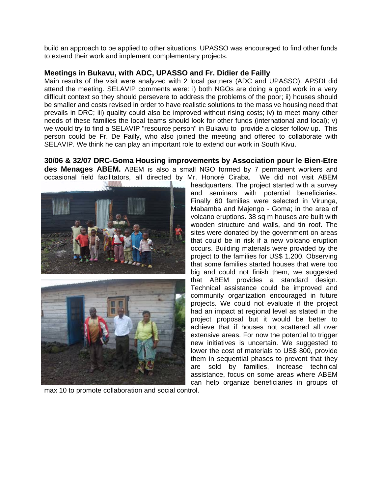build an approach to be applied to other situations. UPASSO was encouraged to find other funds to extend their work and implement complementary projects.

#### **Meetings in Bukavu, with ADC, UPASSO and Fr. Didier de Failly**

Main results of the visit were analyzed with 2 local partners (ADC and UPASSO). APSDI did attend the meeting. SELAVIP comments were: i) both NGOs are doing a good work in a very difficult context so they should persevere to address the problems of the poor; ii) houses should be smaller and costs revised in order to have realistic solutions to the massive housing need that prevails in DRC; iii) quality could also be improved without rising costs; iv) to meet many other needs of these families the local teams should look for other funds (international and local); v) we would try to find a SELAVIP "resource person" in Bukavu to provide a closer follow up. This person could be Fr. De Failly, who also joined the meeting and offered to collaborate with SELAVIP. We think he can play an important role to extend our work in South Kivu.

**30/06 & 32/07 DRC-Goma Housing improvements by Association pour le Bien-Etre des Menages ABEM.** ABEM is also a small NGO formed by 7 permanent workers and occasional field facilitators, all directed by Mr. Honoré Ciraba. We did not visit ABEM



max 10 to promote collaboration and social control.

headquarters. The project started with a survey and seminars with potential beneficiaries. Finally 60 families were selected in Virunga, Mabamba and Majengo - Goma; in the area of volcano eruptions. 38 sq m houses are built with wooden structure and walls, and tin roof. The sites were donated by the government on areas that could be in risk if a new volcano eruption occurs. Building materials were provided by the project to the families for US\$ 1.200. Observing that some families started houses that were too big and could not finish them, we suggested that ABEM provides a standard design. Technical assistance could be improved and community organization encouraged in future projects. We could not evaluate if the project had an impact at regional level as stated in the project proposal but it would be better to achieve that if houses not scattered all over extensive areas. For now the potential to trigger new initiatives is uncertain. We suggested to lower the cost of materials to US\$ 800, provide them in sequential phases to prevent that they are sold by families, increase technical assistance, focus on some areas where ABEM can help organize beneficiaries in groups of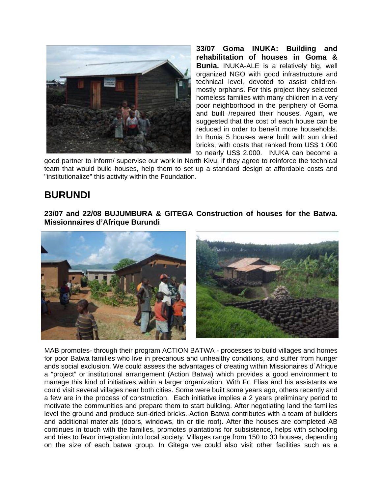

**33/07 Goma INUKA: Building and rehabilitation of houses in Goma & Bunia.** INUKA-ALE is a relatively big, well organized NGO with good infrastructure and technical level, devoted to assist childrenmostly orphans. For this project they selected homeless families with many children in a very poor neighborhood in the periphery of Goma and built /repaired their houses. Again, we suggested that the cost of each house can be reduced in order to benefit more households. In Bunia 5 houses were built with sun dried bricks, with costs that ranked from US\$ 1.000 to nearly US\$ 2.000. INUKA can become a

good partner to inform/ supervise our work in North Kivu, if they agree to reinforce the technical team that would build houses, help them to set up a standard design at affordable costs and "institutionalize" this activity within the Foundation.

## **BURUNDI**

**23/07 and 22/08 BUJUMBURA & GITEGA Construction of houses for the Batwa. Missionnaires d'Afrique Burundi** 



MAB promotes- through their program ACTION BATWA - processes to build villages and homes for poor Batwa families who live in precarious and unhealthy conditions, and suffer from hunger ands social exclusion. We could assess the advantages of creating within Missionaires d´Afrique a "project" or institutional arrangement (Action Batwa) which provides a good environment to manage this kind of initiatives within a larger organization. With Fr. Elias and his assistants we could visit several villages near both cities. Some were built some years ago, others recently and a few are in the process of construction. Each initiative implies a 2 years preliminary period to motivate the communities and prepare them to start building. After negotiating land the families level the ground and produce sun-dried bricks. Action Batwa contributes with a team of builders and additional materials (doors, windows, tin or tile roof). After the houses are completed AB continues in touch with the families, promotes plantations for subsistence, helps with schooling and tries to favor integration into local society. Villages range from 150 to 30 houses, depending on the size of each batwa group. In Gitega we could also visit other facilities such as a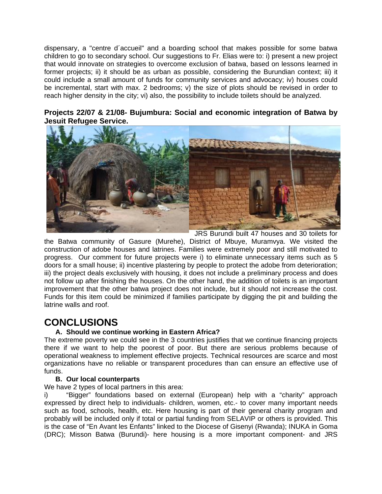dispensary, a "centre d´accueil" and a boarding school that makes possible for some batwa children to go to secondary school. Our suggestions to Fr. Elias were to: i) present a new project that would innovate on strategies to overcome exclusion of batwa, based on lessons learned in former projects; ii) it should be as urban as possible, considering the Burundian context; iii) it could include a small amount of funds for community services and advocacy; iv) houses could be incremental, start with max. 2 bedrooms; v) the size of plots should be revised in order to reach higher density in the city; vi) also, the possibility to include toilets should be analyzed.

#### **Projects 22/07 & 21/08- Bujumbura: Social and economic integration of Batwa by Jesuit Refugee Service.**



JRS Burundi built 47 houses and 30 toilets for the Batwa community of Gasure (Murehe), District of Mbuye, Muramvya. We visited the construction of adobe houses and latrines. Families were extremely poor and still motivated to progress. Our comment for future projects were i) to eliminate unnecessary items such as 5 doors for a small house; ii) incentive plastering by people to protect the adobe from deterioration; iii) the project deals exclusively with housing, it does not include a preliminary process and does not follow up after finishing the houses. On the other hand, the addition of toilets is an important improvement that the other batwa project does not include, but it should not increase the cost. Funds for this item could be minimized if families participate by digging the pit and building the latrine walls and roof.

## **CONCLUSIONS**

### **A. Should we continue working in Eastern Africa?**

The extreme poverty we could see in the 3 countries justifies that we continue financing projects there if we want to help the poorest of poor. But there are serious problems because of operational weakness to implement effective projects. Technical resources are scarce and most organizations have no reliable or transparent procedures than can ensure an effective use of funds.

#### **B. Our local counterparts**

We have 2 types of local partners in this area:

i) "Bigger" foundations based on external (European) help with a "charity" approach expressed by direct help to individuals- children, women, etc.- to cover many important needs such as food, schools, health, etc. Here housing is part of their general charity program and probably will be included only if total or partial funding from SELAVIP or others is provided. This is the case of "En Avant les Enfants" linked to the Diocese of Gisenyi (Rwanda); INUKA in Goma (DRC); Misson Batwa (Burundi)- here housing is a more important component- and JRS